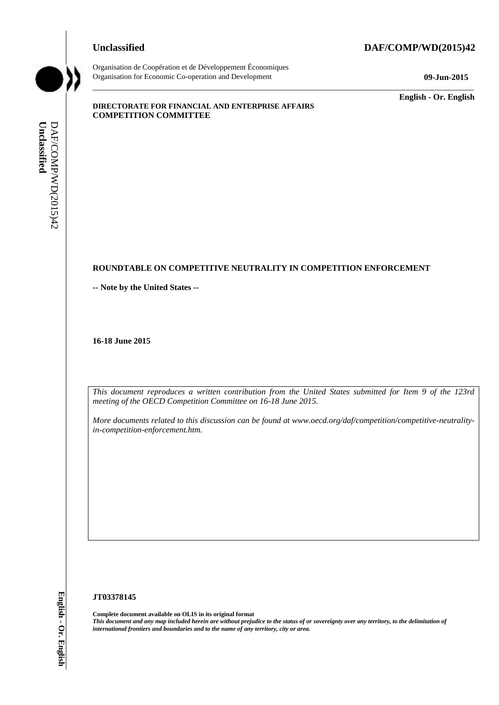## **Unclassified DAF/COMP/WD(2015)42**



Organisation de Coopération et de Développement Économiques Organisation for Economic Co-operation and Development **09-Jun-2015**

\_\_\_\_\_\_\_\_\_\_\_\_\_ **English - Or. English**

#### **DIRECTORATE FOR FINANCIAL AND ENTERPRISE AFFAIRS COMPETITION COMMITTEE**

#### **ROUNDTABLE ON COMPETITIVE NEUTRALITY IN COMPETITION ENFORCEMENT**

 $\_$  ,  $\_$  ,  $\_$  ,  $\_$  ,  $\_$  ,  $\_$  ,  $\_$  ,  $\_$  ,  $\_$  ,  $\_$  ,  $\_$  ,  $\_$  ,  $\_$  ,  $\_$  ,  $\_$  ,  $\_$  ,  $\_$  ,  $\_$  ,  $\_$  ,  $\_$  ,  $\_$  ,  $\_$  ,  $\_$  ,  $\_$  ,  $\_$  ,  $\_$  ,  $\_$  ,  $\_$  ,  $\_$  ,  $\_$  ,  $\_$  ,  $\_$  ,  $\_$  ,  $\_$  ,  $\_$  ,  $\_$  ,  $\_$  ,

**-- Note by the United States --**

**16-18 June 2015**

*This document reproduces a written contribution from the United States submitted for Item 9 of the 123rd meeting of the OECD Competition Committee on 16-18 June 2015.* 

*More documents related to this discussion can be found at www.oecd.org/daf/competition/competitive-neutralityin-competition-enforcement.htm.*

#### **JT03378145**

**Complete document available on OLIS in its original format** *This document and any map included herein are without prejudice to the status of or sovereignty over any territory, to the delimitation of*  **iii** *international frontiers and boundaries and boundaries and to the name of any territory, city or area.* **If**  $\frac{1}{2}$  **If**  $\frac{1}{2}$  **Computers and to the name of any territory of the DAF/COMP Computibility of the D**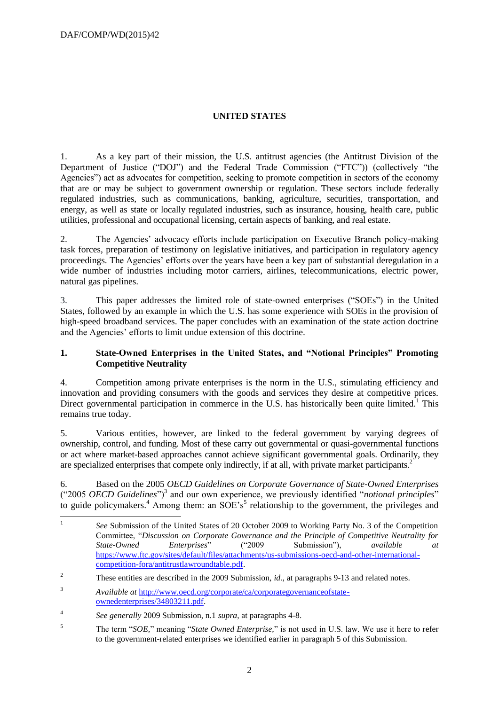# **UNITED STATES**

1. As a key part of their mission, the U.S. antitrust agencies (the Antitrust Division of the Department of Justice ("DOJ") and the Federal Trade Commission ("FTC")) (collectively "the Agencies") act as advocates for competition, seeking to promote competition in sectors of the economy that are or may be subject to government ownership or regulation. These sectors include federally regulated industries, such as communications, banking, agriculture, securities, transportation, and energy, as well as state or locally regulated industries, such as insurance, housing, health care, public utilities, professional and occupational licensing, certain aspects of banking, and real estate.

2. The Agencies' advocacy efforts include participation on Executive Branch policy-making task forces, preparation of testimony on legislative initiatives, and participation in regulatory agency proceedings. The Agencies' efforts over the years have been a key part of substantial deregulation in a wide number of industries including motor carriers, airlines, telecommunications, electric power, natural gas pipelines.

3. This paper addresses the limited role of state-owned enterprises ("SOEs") in the United States, followed by an example in which the U.S. has some experience with SOEs in the provision of high-speed broadband services. The paper concludes with an examination of the state action doctrine and the Agencies' efforts to limit undue extension of this doctrine.

## **1. State-Owned Enterprises in the United States, and "Notional Principles" Promoting Competitive Neutrality**

4. Competition among private enterprises is the norm in the U.S., stimulating efficiency and innovation and providing consumers with the goods and services they desire at competitive prices. Direct governmental participation in commerce in the U.S. has historically been quite limited.<sup>1</sup> This remains true today.

5. Various entities, however, are linked to the federal government by varying degrees of ownership, control, and funding. Most of these carry out governmental or quasi-governmental functions or act where market-based approaches cannot achieve significant governmental goals. Ordinarily, they are specialized enterprises that compete only indirectly, if at all, with private market participants.<sup>2</sup>

6. Based on the 2005 *OECD Guidelines on Corporate Governance of State-Owned Enterprises* ("2005 *OECD Guidelines*")<sup>3</sup> and our own experience, we previously identified "*notional principles*" to guide policymakers.<sup>4</sup> Among them: an SOE's<sup>5</sup> relationship to the government, the privileges and

 $\frac{1}{1}$ *See* Submission of the United States of 20 October 2009 to Working Party No. 3 of the Competition Committee, "*Discussion on Corporate Governance and the Principle of Competitive Neutrality for State-Owned Enterprises*" ("2009 Submission"), *available at*  [https://www.ftc.gov/sites/default/files/attachments/us-submissions-oecd-and-other-international](https://www.ftc.gov/sites/default/files/attachments/us-submissions-oecd-and-other-international-competition-fora/antitrustlawroundtable.pdf)[competition-fora/antitrustlawroundtable.pdf.](https://www.ftc.gov/sites/default/files/attachments/us-submissions-oecd-and-other-international-competition-fora/antitrustlawroundtable.pdf)

<sup>&</sup>lt;sup>2</sup> These entities are described in the 2009 Submission, *id.*, at paragraphs 9-13 and related notes.

<sup>3</sup> *Available at* [http://www.oecd.org/corporate/ca/corporategovernanceofstate](http://www.oecd.org/corporate/ca/corporategovernanceofstate-ownedenterprises/34803211.pdf)[ownedenterprises/34803211.pdf.](http://www.oecd.org/corporate/ca/corporategovernanceofstate-ownedenterprises/34803211.pdf)

<sup>4</sup> *See generally* 2009 Submission, n.1 *supra*, at paragraphs 4-8.

<sup>5</sup> The term "*SOE,*" meaning "*State Owned Enterprise,*" is not used in U.S. law. We use it here to refer to the government-related enterprises we identified earlier in paragraph 5 of this Submission.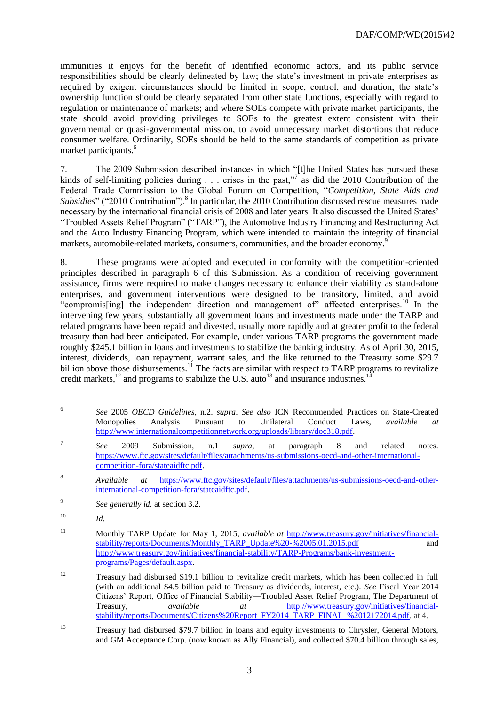immunities it enjoys for the benefit of identified economic actors, and its public service responsibilities should be clearly delineated by law; the state's investment in private enterprises as required by exigent circumstances should be limited in scope, control, and duration; the state's ownership function should be clearly separated from other state functions, especially with regard to regulation or maintenance of markets; and where SOEs compete with private market participants, the state should avoid providing privileges to SOEs to the greatest extent consistent with their governmental or quasi-governmental mission, to avoid unnecessary market distortions that reduce consumer welfare. Ordinarily, SOEs should be held to the same standards of competition as private market participants.<sup>6</sup>

7. The 2009 Submission described instances in which "[t]he United States has pursued these kinds of self-limiting policies during  $\ldots$  crises in the past,"<sup>7</sup> as did the 2010 Contribution of the Federal Trade Commission to the Global Forum on Competition, "*Competition, State Aids and*  Subsidies" ("2010 Contribution").<sup>8</sup> In particular, the 2010 Contribution discussed rescue measures made necessary by the international financial crisis of 2008 and later years. It also discussed the United States' "Troubled Assets Relief Program" ("TARP"), the Automotive Industry Financing and Restructuring Act and the Auto Industry Financing Program, which were intended to maintain the integrity of financial markets, automobile-related markets, consumers, communities, and the broader economy.<sup>9</sup>

8. These programs were adopted and executed in conformity with the competition-oriented principles described in paragraph 6 of this Submission. As a condition of receiving government assistance, firms were required to make changes necessary to enhance their viability as stand-alone enterprises, and government interventions were designed to be transitory, limited, and avoid "compromis[ing] the independent direction and management of" affected enterprises.<sup>10</sup> In the intervening few years, substantially all government loans and investments made under the TARP and related programs have been repaid and divested, usually more rapidly and at greater profit to the federal treasury than had been anticipated. For example, under various TARP programs the government made roughly \$245.1 billion in loans and investments to stabilize the banking industry. As of April 30, 2015, interest, dividends, loan repayment, warrant sales, and the like returned to the Treasury some \$29.7 billion above those disbursements.<sup>11</sup> The facts are similar with respect to TARP programs to revitalize credit markets,<sup>12</sup> and programs to stabilize the U.S. auto<sup>13</sup> and insurance industries.<sup>14</sup>

 $\frac{1}{6}$ *See* 2005 *OECD Guidelines*, n.2. *supra*. *See also* ICN Recommended Practices on State-Created Monopolies Analysis Pursuant to Unilateral Conduct Laws, *available at*  [http://www.internationalcompetitionnetwork.org/uploads/library/doc318.pdf.](http://www.internationalcompetitionnetwork.org/uploads/library/doc318.pdf)

<sup>7</sup> *See* 2009 Submission, n.1 *supra*, at paragraph 8 and related notes. [https://www.ftc.gov/sites/default/files/attachments/us-submissions-oecd-and-other-international](https://www.ftc.gov/sites/default/files/attachments/us-submissions-oecd-and-other-international-competition-fora/stateaidftc.pdf)[competition-fora/stateaidftc.pdf.](https://www.ftc.gov/sites/default/files/attachments/us-submissions-oecd-and-other-international-competition-fora/stateaidftc.pdf) 

<sup>8</sup> *Available at* [https://www.ftc.gov/sites/default/files/attachments/us-submissions-oecd-and-other](https://www.ftc.gov/sites/default/files/attachments/us-submissions-oecd-and-other-international-competition-fora/stateaidftc.pdf)[international-competition-fora/stateaidftc.pdf.](https://www.ftc.gov/sites/default/files/attachments/us-submissions-oecd-and-other-international-competition-fora/stateaidftc.pdf) 

<sup>9</sup> *See generally id.* at section 3.2.

<sup>10</sup> *Id.*

<sup>11</sup> Monthly TARP Update for May 1, 2015, *available at* [http://www.treasury.gov/initiatives/financial](http://www.treasury.gov/initiatives/financial-stability/reports/Documents/Monthly_TARP_Update%20-%2005.01.2015.pdf)[stability/reports/Documents/Monthly\\_TARP\\_Update%20-%2005.01.2015.pdf](http://www.treasury.gov/initiatives/financial-stability/reports/Documents/Monthly_TARP_Update%20-%2005.01.2015.pdf) and [http://www.treasury.gov/initiatives/financial-stability/TARP-Programs/bank-investment](http://www.treasury.gov/initiatives/financial-stability/TARP-Programs/bank-investment-programs/Pages/default.aspx)[programs/Pages/default.aspx.](http://www.treasury.gov/initiatives/financial-stability/TARP-Programs/bank-investment-programs/Pages/default.aspx)

<sup>12</sup> Treasury had disbursed \$19.1 billion to revitalize credit markets, which has been collected in full (with an additional \$4.5 billion paid to Treasury as dividends, interest, etc.). *See* Fiscal Year 2014 Citizens' Report, Office of Financial Stability—Troubled Asset Relief Program, The Department of Treasury, *available at* [http://www.treasury.gov/initiatives/financial](http://www.treasury.gov/initiatives/financial-stability/reports/Documents/Citizens%20Report_FY2014_TARP_FINAL_%2012172014.pdf)[stability/reports/Documents/Citizens%20Report\\_FY2014\\_TARP\\_FINAL\\_%2012172014.pdf,](http://www.treasury.gov/initiatives/financial-stability/reports/Documents/Citizens%20Report_FY2014_TARP_FINAL_%2012172014.pdf) at 4.

<sup>&</sup>lt;sup>13</sup> Treasury had disbursed \$79.7 billion in loans and equity investments to Chrysler, General Motors, and GM Acceptance Corp. (now known as Ally Financial), and collected \$70.4 billion through sales,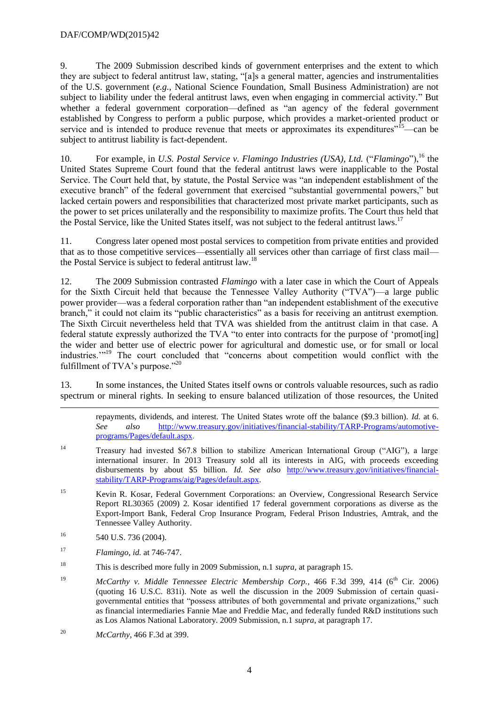## DAF/COMP/WD(2015)42

9. The 2009 Submission described kinds of government enterprises and the extent to which they are subject to federal antitrust law, stating, "[a]s a general matter, agencies and instrumentalities of the U.S. government (*e.g.*, National Science Foundation, Small Business Administration) are not subject to liability under the federal antitrust laws, even when engaging in commercial activity." But whether a federal government corporation—defined as "an agency of the federal government established by Congress to perform a public purpose, which provides a market-oriented product or service and is intended to produce revenue that meets or approximates its expenditures<sup>"15</sup>—can be subject to antitrust liability is fact-dependent.

10. For example, in *U.S. Postal Service v. Flamingo Industries (USA), Ltd.* ("*Flamingo*"),<sup>16</sup> the United States Supreme Court found that the federal antitrust laws were inapplicable to the Postal Service. The Court held that, by statute, the Postal Service was "an independent establishment of the executive branch" of the federal government that exercised "substantial governmental powers," but lacked certain powers and responsibilities that characterized most private market participants, such as the power to set prices unilaterally and the responsibility to maximize profits. The Court thus held that the Postal Service, like the United States itself, was not subject to the federal antitrust laws.<sup>17</sup>

11. Congress later opened most postal services to competition from private entities and provided that as to those competitive services—essentially all services other than carriage of first class mail the Postal Service is subject to federal antitrust law.<sup>18</sup>

12. The 2009 Submission contrasted *Flamingo* with a later case in which the Court of Appeals for the Sixth Circuit held that because the Tennessee Valley Authority ("TVA")—a large public power provider—was a federal corporation rather than "an independent establishment of the executive branch," it could not claim its "public characteristics" as a basis for receiving an antitrust exemption. The Sixth Circuit nevertheless held that TVA was shielded from the antitrust claim in that case. A federal statute expressly authorized the TVA "to enter into contracts for the purpose of 'promot[ing] the wider and better use of electric power for agricultural and domestic use, or for small or local industries.'"<sup>19</sup> The court concluded that "concerns about competition would conflict with the fulfillment of TVA's purpose."<sup>20</sup>

13. In some instances, the United States itself owns or controls valuable resources, such as radio spectrum or mineral rights. In seeking to ensure balanced utilization of those resources, the United

- <sup>14</sup> Treasury had invested \$67.8 billion to stabilize American International Group ("AIG"), a large international insurer. In 2013 Treasury sold all its interests in AIG, with proceeds exceeding disbursements by about \$5 billion. *Id. See also* [http://www.treasury.gov/initiatives/financial](http://www.treasury.gov/initiatives/financial-stability/TARP-Programs/aig/Pages/default.aspx)[stability/TARP-Programs/aig/Pages/default.aspx.](http://www.treasury.gov/initiatives/financial-stability/TARP-Programs/aig/Pages/default.aspx)
- <sup>15</sup> Kevin R. Kosar, Federal Government Corporations: an Overview, Congressional Research Service Report RL30365 (2009) 2. Kosar identified 17 federal government corporations as diverse as the Export-Import Bank, Federal Crop Insurance Program, Federal Prison Industries, Amtrak, and the Tennessee Valley Authority.
- $16$  540 U.S. 736 (2004).

-

- <sup>17</sup> *Flamingo, id.* at 746-747.
- <sup>18</sup> This is described more fully in 2009 Submission, n.1 *supra,* at paragraph 15.
- <sup>19</sup> *McCarthy v. Middle Tennessee Electric Membership Corp.*, 466 F.3d 399, 414 (6<sup>th</sup> Cir. 2006) (quoting 16 U.S.C. 831i). Note as well the discussion in the 2009 Submission of certain quasigovernmental entities that "possess attributes of both governmental and private organizations," such as financial intermediaries Fannie Mae and Freddie Mac, and federally funded R&D institutions such as Los Alamos National Laboratory. 2009 Submission, n.1 *supra*, at paragraph 17.
- <sup>20</sup> *McCarthy*, 466 F.3d at 399.

repayments, dividends, and interest. The United States wrote off the balance (\$9.3 billion). *Id.* at 6. *See also* [http://www.treasury.gov/initiatives/financial-stability/TARP-Programs/automotive](http://www.treasury.gov/initiatives/financial-stability/TARP-Programs/automotive-programs/Pages/default.aspx)[programs/Pages/default.aspx.](http://www.treasury.gov/initiatives/financial-stability/TARP-Programs/automotive-programs/Pages/default.aspx)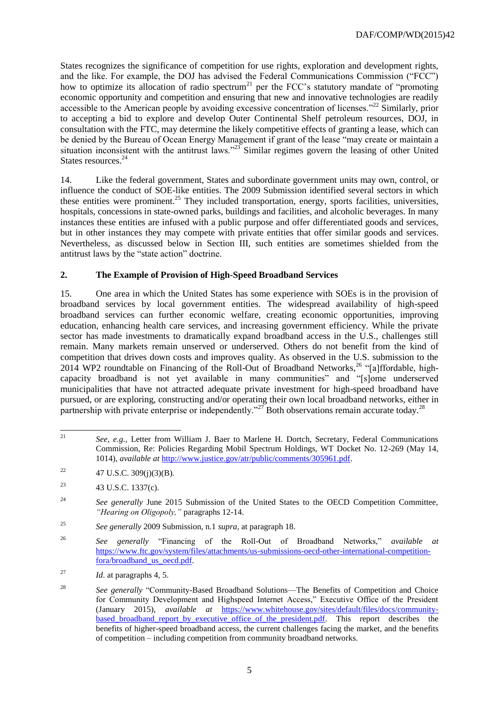States recognizes the significance of competition for use rights, exploration and development rights, and the like. For example, the DOJ has advised the Federal Communications Commission ("FCC") how to optimize its allocation of radio spectrum<sup>21</sup> per the FCC's statutory mandate of "promoting" economic opportunity and competition and ensuring that new and innovative technologies are readily accessible to the American people by avoiding excessive concentration of licenses."<sup>22</sup> Similarly, prior to accepting a bid to explore and develop Outer Continental Shelf petroleum resources, DOJ, in consultation with the FTC, may determine the likely competitive effects of granting a lease, which can be denied by the Bureau of Ocean Energy Management if grant of the lease "may create or maintain a situation inconsistent with the antitrust laws."<sup>23</sup> Similar regimes govern the leasing of other United States resources.<sup>24</sup>

14. Like the federal government, States and subordinate government units may own, control, or influence the conduct of SOE-like entities. The 2009 Submission identified several sectors in which these entities were prominent.<sup>25</sup> They included transportation, energy, sports facilities, universities, hospitals, concessions in state-owned parks, buildings and facilities, and alcoholic beverages. In many instances these entities are infused with a public purpose and offer differentiated goods and services, but in other instances they may compete with private entities that offer similar goods and services. Nevertheless, as discussed below in Section III, such entities are sometimes shielded from the antitrust laws by the "state action" doctrine.

# **2. The Example of Provision of High-Speed Broadband Services**

15. One area in which the United States has some experience with SOEs is in the provision of broadband services by local government entities. The widespread availability of high-speed broadband services can further economic welfare, creating economic opportunities, improving education, enhancing health care services, and increasing government efficiency. While the private sector has made investments to dramatically expand broadband access in the U.S., challenges still remain. Many markets remain unserved or underserved. Others do not benefit from the kind of competition that drives down costs and improves quality. As observed in the U.S. submission to the 2014 WP2 roundtable on Financing of the Roll-Out of Broadband Networks,<sup>26</sup> "[a]ffordable, highcapacity broadband is not yet available in many communities" and "[s]ome underserved municipalities that have not attracted adequate private investment for high-speed broadband have pursued, or are exploring, constructing and/or operating their own local broadband networks, either in partnership with private enterprise or independently."<sup>27</sup> Both observations remain accurate today.<sup>28</sup>

 $21$ <sup>21</sup> *See, e.g.,* Letter from William J. Baer to Marlene H. Dortch, Secretary, Federal Communications Commission, Re: Policies Regarding Mobil Spectrum Holdings, WT Docket No. 12-269 (May 14, 1014), *available at* [http://www.justice.gov/atr/public/comments/305961.pdf.](http://www.justice.gov/atr/public/comments/305961.pdf)

<sup>&</sup>lt;sup>22</sup> 47 U.S.C. 309(j)(3)(B).

<sup>&</sup>lt;sup>23</sup> 43 U.S.C. 1337(c).

<sup>&</sup>lt;sup>24</sup> See generally June 2015 Submission of the United States to the OECD Competition Committee, *"Hearing on Oligopoly,"* paragraphs 12-14.

<sup>25</sup> *See generally* 2009 Submission, n.1 *supra*, at paragraph 18.

<sup>26</sup> *See generally* "Financing of the Roll-Out of Broadband Networks," *available at* [https://www.ftc.gov/system/files/attachments/us-submissions-oecd-other-international-competition](https://www.ftc.gov/system/files/attachments/us-submissions-oecd-other-international-competition-fora/broadband_us_oecd.pdf)[fora/broadband\\_us\\_oecd.pdf.](https://www.ftc.gov/system/files/attachments/us-submissions-oecd-other-international-competition-fora/broadband_us_oecd.pdf)

<sup>27</sup> *Id*. at paragraphs 4, 5.

<sup>&</sup>lt;sup>28</sup> *See generally* "Community-Based Broadband Solutions—The Benefits of Competition and Choice for Community Development and Highspeed Internet Access," Executive Office of the President (January 2015), *available at* [https://www.whitehouse.gov/sites/default/files/docs/community](https://www.whitehouse.gov/sites/default/files/docs/community-based_broadband_report_by_executive_office_of_the_president.pdf)[based\\_broadband\\_report\\_by\\_executive\\_office\\_of\\_the\\_president.pdf.](https://www.whitehouse.gov/sites/default/files/docs/community-based_broadband_report_by_executive_office_of_the_president.pdf) This report describes the benefits of higher-speed broadband access, the current challenges facing the market, and the benefits of competition – including competition from community broadband networks.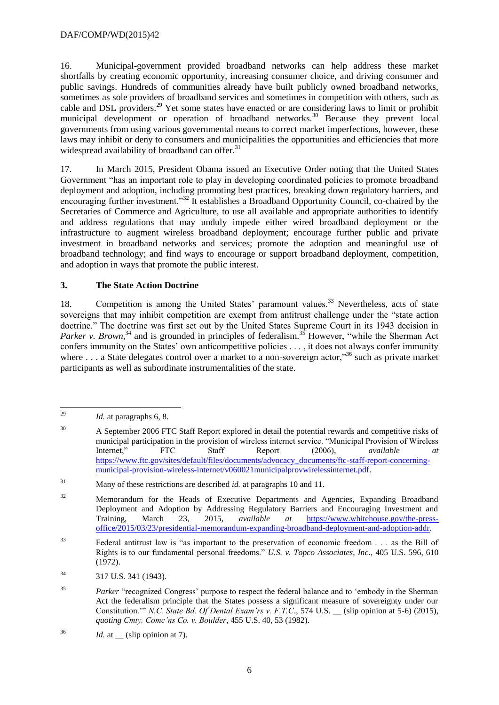16. Municipal-government provided broadband networks can help address these market shortfalls by creating economic opportunity, increasing consumer choice, and driving consumer and public savings. Hundreds of communities already have built publicly owned broadband networks, sometimes as sole providers of broadband services and sometimes in competition with others, such as cable and DSL providers.<sup>29</sup> Yet some states have enacted or are considering laws to limit or prohibit municipal development or operation of broadband networks.<sup>30</sup> Because they prevent local governments from using various governmental means to correct market imperfections, however, these laws may inhibit or deny to consumers and municipalities the opportunities and efficiencies that more widespread availability of broadband can offer. $31$ 

17. In March 2015, President Obama issued an Executive Order noting that the United States Government "has an important role to play in developing coordinated policies to promote broadband deployment and adoption, including promoting best practices, breaking down regulatory barriers, and encouraging further investment."<sup>32</sup> It establishes a Broadband Opportunity Council, co-chaired by the Secretaries of Commerce and Agriculture, to use all available and appropriate authorities to identify and address regulations that may unduly impede either wired broadband deployment or the infrastructure to augment wireless broadband deployment; encourage further public and private investment in broadband networks and services; promote the adoption and meaningful use of broadband technology; and find ways to encourage or support broadband deployment, competition, and adoption in ways that promote the public interest.

# **3. The State Action Doctrine**

18. Competition is among the United States' paramount values.<sup>33</sup> Nevertheless, acts of state sovereigns that may inhibit competition are exempt from antitrust challenge under the "state action" doctrine." The doctrine was first set out by the United States Supreme Court in its 1943 decision in Parker v. Brown,<sup>34</sup> and is grounded in principles of federalism.<sup>35</sup> However, "while the Sherman Act confers immunity on the States' own anticompetitive policies . . . , it does not always confer immunity where . . . a State delegates control over a market to a non-sovereign actor,"<sup>36</sup> such as private market participants as well as subordinate instrumentalities of the state.

<sup>29</sup> Id. at paragraphs 6, 8.

<sup>&</sup>lt;sup>30</sup> A September 2006 FTC Staff Report explored in detail the potential rewards and competitive risks of municipal participation in the provision of wireless internet service. "Municipal Provision of Wireless Internet," FTC Staff Report (2006), *available at* [https://www.ftc.gov/sites/default/files/documents/advocacy\\_documents/ftc-staff-report-concerning](https://www.ftc.gov/sites/default/files/documents/advocacy_documents/ftc-staff-report-concerning-municipal-provision-wireless-internet/v060021municipalprovwirelessinternet.pdf)[municipal-provision-wireless-internet/v060021municipalprovwirelessinternet.pdf.](https://www.ftc.gov/sites/default/files/documents/advocacy_documents/ftc-staff-report-concerning-municipal-provision-wireless-internet/v060021municipalprovwirelessinternet.pdf)

<sup>31</sup> Many of these restrictions are described *id.* at paragraphs 10 and 11.

<sup>&</sup>lt;sup>32</sup> Memorandum for the Heads of Executive Departments and Agencies, Expanding Broadband Deployment and Adoption by Addressing Regulatory Barriers and Encouraging Investment and Training, March 23, 2015, *available at* [https://www.whitehouse.gov/the-press](https://www.whitehouse.gov/the-press-office/2015/03/23/presidential-memorandum-expanding-broadband-deployment-and-adoption-addr)[office/2015/03/23/presidential-memorandum-expanding-broadband-deployment-and-adoption-addr.](https://www.whitehouse.gov/the-press-office/2015/03/23/presidential-memorandum-expanding-broadband-deployment-and-adoption-addr)

<sup>33</sup> Federal antitrust law is "as important to the preservation of economic freedom . . . as the Bill of Rights is to our fundamental personal freedoms." *U.S. v. Topco Associates, Inc*., 405 U.S. 596, 610 (1972).

<sup>34</sup> 317 U.S. 341 (1943).

<sup>&</sup>lt;sup>35</sup> *Parker* "recognized Congress' purpose to respect the federal balance and to 'embody in the Sherman Act the federalism principle that the States possess a significant measure of sovereignty under our Constitution.'" *N.C. State Bd. Of Dental Exam'rs v. F.T.C*., 574 U.S. \_\_ (slip opinion at 5-6) (2015), *quoting Cmty. Comc'ns Co. v. Boulder*, 455 U.S. 40, 53 (1982).

 $^{36}$  *Id.* at \_\_ (slip opinion at 7).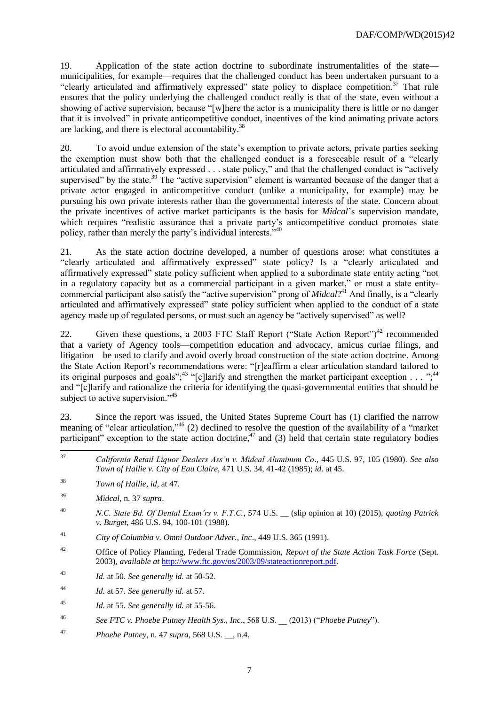19. Application of the state action doctrine to subordinate instrumentalities of the state municipalities, for example—requires that the challenged conduct has been undertaken pursuant to a "clearly articulated and affirmatively expressed" state policy to displace competition.<sup>37</sup> That rule ensures that the policy underlying the challenged conduct really is that of the state, even without a showing of active supervision, because "[w]here the actor is a municipality there is little or no danger that it is involved" in private anticompetitive conduct, incentives of the kind animating private actors are lacking, and there is electoral accountability.<sup>38</sup>

20. To avoid undue extension of the state's exemption to private actors, private parties seeking the exemption must show both that the challenged conduct is a foreseeable result of a "clearly articulated and affirmatively expressed . . . state policy," and that the challenged conduct is "actively supervised" by the state.<sup>39</sup> The "active supervision" element is warranted because of the danger that a private actor engaged in anticompetitive conduct (unlike a municipality, for example) may be pursuing his own private interests rather than the governmental interests of the state. Concern about the private incentives of active market participants is the basis for *Midcal*'s supervision mandate, which requires "realistic assurance that a private party's anticompetitive conduct promotes state policy, rather than merely the party's individual interests."<sup>40</sup>

21. As the state action doctrine developed, a number of questions arose: what constitutes a "clearly articulated and affirmatively expressed" state policy? Is a "clearly articulated and affirmatively expressed" state policy sufficient when applied to a subordinate state entity acting "not in a regulatory capacity but as a commercial participant in a given market," or must a state entitycommercial participant also satisfy the "active supervision" prong of *Midcal*? <sup>41</sup> And finally, is a "clearly articulated and affirmatively expressed" state policy sufficient when applied to the conduct of a state agency made up of regulated persons, or must such an agency be "actively supervised" as well?

22. Given these questions, a 2003 FTC Staff Report ("State Action Report")<sup>42</sup> recommended that a variety of Agency tools—competition education and advocacy, amicus curiae filings, and litigation—be used to clarify and avoid overly broad construction of the state action doctrine. Among the State Action Report's recommendations were: "[r]eaffirm a clear articulation standard tailored to its original purposes and goals";<sup>43</sup> "[c]larify and strengthen the market participant exception . . . ";<sup>44</sup> and "[c]larify and rationalize the criteria for identifying the quasi-governmental entities that should be subject to active supervision."<sup>45</sup>

23. Since the report was issued, the United States Supreme Court has (1) clarified the narrow meaning of "clear articulation,"<sup>46</sup> (2) declined to resolve the question of the availability of a "market participant" exception to the state action doctrine,<sup>47</sup> and (3) held that certain state regulatory bodies

- <sup>41</sup> *City of Columbia v. Omni Outdoor Adver., Inc*., 449 U.S. 365 (1991).
- <sup>42</sup> Office of Policy Planning, Federal Trade Commission, *Report of the State Action Task Force* (Sept. 2003), *available at* [http://www.ftc.gov/os/2003/09/stateactionreport.pdf.](http://www.ftc.gov/os/2003/09/stateactionreport.pdf)
- <sup>43</sup> *Id.* at 50. *See generally id.* at 50-52.
- <sup>44</sup> *Id.* at 57. *See generally id.* at 57.
- <sup>45</sup> *Id.* at 55. *See generally id.* at 55-56.
- <sup>46</sup> *See FTC v. Phoebe Putney Health Sys., Inc*., 568 U.S. \_\_ (2013) ("*Phoebe Putney*").
- <sup>47</sup> *Phoebe Putney*, n. 47 *supra,* 568 U.S. \_\_, n.4.

 $37$ <sup>37</sup> *California Retail Liquor Dealers Ass'n v. Midcal Aluminum Co*., 445 U.S. 97, 105 (1980). *See also Town of Hallie v. City of Eau Claire*, 471 U.S. 34, 41-42 (1985); *id.* at 45.

<sup>38</sup> *Town of Hallie*, *id,* at 47.

<sup>39</sup> *Midcal*, n. 37 *supra*.

<sup>40</sup> *N.C. State Bd. Of Dental Exam'rs v. F.T.C.*, 574 U.S. \_\_ (slip opinion at 10) (2015), *quoting Patrick v. Burget*, 486 U.S. 94, 100-101 (1988).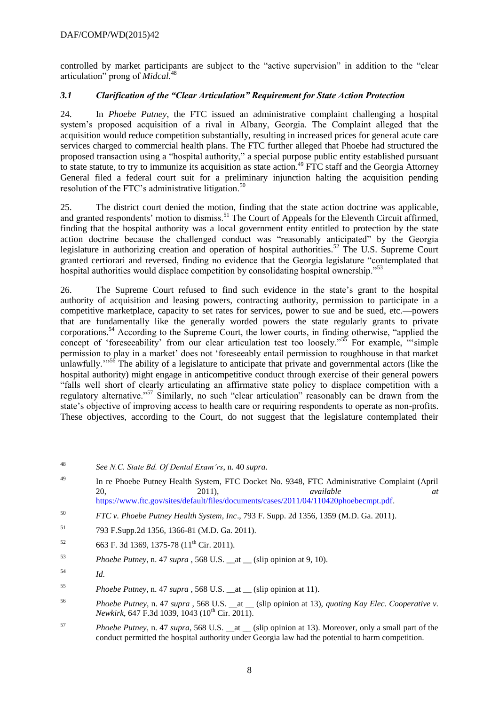controlled by market participants are subject to the "active supervision" in addition to the "clear articulation" prong of *Midcal.*<sup>48</sup>

# *3.1 Clarification of the "Clear Articulation" Requirement for State Action Protection*

24. In *Phoebe Putney*, the FTC issued an administrative complaint challenging a hospital system's proposed acquisition of a rival in Albany, Georgia. The Complaint alleged that the acquisition would reduce competition substantially, resulting in increased prices for general acute care services charged to commercial health plans. The FTC further alleged that Phoebe had structured the proposed transaction using a "hospital authority," a special purpose public entity established pursuant to state statute, to try to immunize its acquisition as state action.<sup>49</sup> FTC staff and the Georgia Attorney General filed a federal court suit for a preliminary injunction halting the acquisition pending resolution of the FTC's administrative litigation.<sup>50</sup>

25. The district court denied the motion, finding that the state action doctrine was applicable, and granted respondents' motion to dismiss.<sup>51</sup> The Court of Appeals for the Eleventh Circuit affirmed, finding that the hospital authority was a local government entity entitled to protection by the state action doctrine because the challenged conduct was "reasonably anticipated" by the Georgia legislature in authorizing creation and operation of hospital authorities.<sup>52</sup> The U.S. Supreme Court granted certiorari and reversed, finding no evidence that the Georgia legislature "contemplated that hospital authorities would displace competition by consolidating hospital ownership.<sup>553</sup>

26. The Supreme Court refused to find such evidence in the state's grant to the hospital authority of acquisition and leasing powers, contracting authority, permission to participate in a competitive marketplace, capacity to set rates for services, power to sue and be sued, etc.—powers that are fundamentally like the generally worded powers the state regularly grants to private corporations.<sup>54</sup> According to the Supreme Court, the lower courts, in finding otherwise, "applied the concept of 'foreseeability' from our clear articulation test too loosely."<sup>55</sup> For example, "simple permission to play in a market' does not 'foreseeably entail permission to roughhouse in that market unlawfully.<sup> $1.56$ </sup> The ability of a legislature to anticipate that private and governmental actors (like the hospital authority) might engage in anticompetitive conduct through exercise of their general powers "falls well short of clearly articulating an affirmative state policy to displace competition with a regulatory alternative."<sup>57</sup> Similarly, no such "clear articulation" reasonably can be drawn from the state's objective of improving access to health care or requiring respondents to operate as non-profits. These objectives, according to the Court, do not suggest that the legislature contemplated their

<sup>48</sup> <sup>48</sup> *See N.C. State Bd. Of Dental Exam'rs*, n. 40 *supra*.

<sup>&</sup>lt;sup>49</sup> In re Phoebe Putney Health System, FTC Docket No. 9348, FTC Administrative Complaint (April 20, 2011), *available at* [https://www.ftc.gov/sites/default/files/documents/cases/2011/04/110420phoebecmpt.pdf.](https://www.ftc.gov/sites/default/files/documents/cases/2011/04/110420phoebecmpt.pdf)

<sup>50</sup> *FTC v. Phoebe Putney Health System, Inc*., 793 F. Supp. 2d 1356, 1359 (M.D. Ga. 2011).

<sup>51</sup> 793 F.Supp.2d 1356, 1366-81 (M.D. Ga. 2011).

 $52$  663 F. 3d 1369, 1375-78 (11<sup>th</sup> Cir. 2011).

<sup>53</sup> *Phoebe Putney*, n. 47 *supra* , 568 U.S. \_\_at \_\_ (slip opinion at 9, 10).

<sup>54</sup> *Id.*

<sup>55</sup> *Phoebe Putney*, n. 47 *supra* , 568 U.S. \_\_at \_\_ (slip opinion at 11).

<sup>56</sup> *Phoebe Putney*, n. 47 *supra* , 568 U.S. \_\_at \_\_ (slip opinion at 13), *quoting Kay Elec. Cooperative v. Newkirk*, 647 F.3d 1039, 1043 (10<sup>th</sup> Cir. 2011).

<sup>57</sup> *Phoebe Putney*, n. 47 *supra*, 568 U.S. \_\_at \_\_ (slip opinion at 13). Moreover, only a small part of the conduct permitted the hospital authority under Georgia law had the potential to harm competition.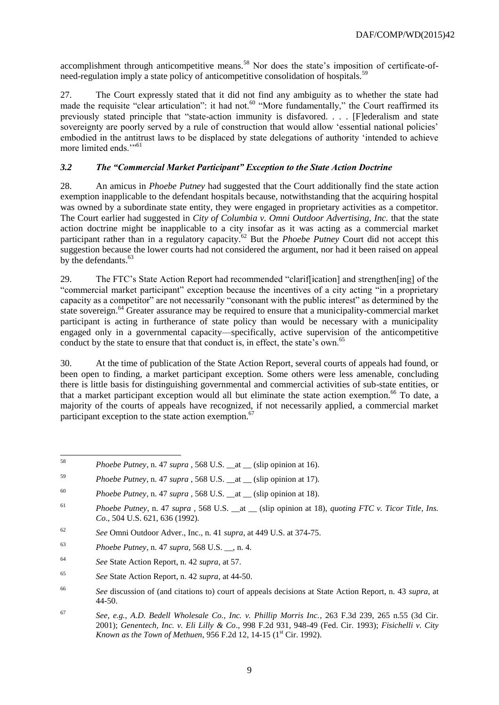accomplishment through anticompetitive means.<sup>58</sup> Nor does the state's imposition of certificate-ofneed-regulation imply a state policy of anticompetitive consolidation of hospitals.<sup>59</sup>

27. The Court expressly stated that it did not find any ambiguity as to whether the state had made the requisite "clear articulation": it had not.<sup>60</sup> "More fundamentally," the Court reaffirmed its previously stated principle that "state-action immunity is disfavored. . . . [F]ederalism and state sovereignty are poorly served by a rule of construction that would allow 'essential national policies' embodied in the antitrust laws to be displaced by state delegations of authority 'intended to achieve more limited ends."<sup>51</sup>

# *3.2 The "Commercial Market Participant" Exception to the State Action Doctrine*

28. An amicus in *Phoebe Putney* had suggested that the Court additionally find the state action exemption inapplicable to the defendant hospitals because, notwithstanding that the acquiring hospital was owned by a subordinate state entity, they were engaged in proprietary activities as a competitor. The Court earlier had suggested in *City of Columbia v. Omni Outdoor Advertising, Inc.* that the state action doctrine might be inapplicable to a city insofar as it was acting as a commercial market participant rather than in a regulatory capacity.<sup>62</sup> But the *Phoebe Putney* Court did not accept this suggestion because the lower courts had not considered the argument, nor had it been raised on appeal by the defendants.<sup>63</sup>

29. The FTC's State Action Report had recommended "clarif[ication] and strengthen[ing] of the "commercial market participant" exception because the incentives of a city acting "in a proprietary capacity as a competitor" are not necessarily "consonant with the public interest" as determined by the state sovereign.<sup>64</sup> Greater assurance may be required to ensure that a municipality-commercial market participant is acting in furtherance of state policy than would be necessary with a municipality engaged only in a governmental capacity—specifically, active supervision of the anticompetitive conduct by the state to ensure that that conduct is, in effect, the state's own.<sup>65</sup>

30. At the time of publication of the State Action Report, several courts of appeals had found, or been open to finding, a market participant exception. Some others were less amenable, concluding there is little basis for distinguishing governmental and commercial activities of sub-state entities, or that a market participant exception would all but eliminate the state action exemption. <sup>66</sup> To date, a majority of the courts of appeals have recognized, if not necessarily applied, a commercial market participant exception to the state action exemption.<sup>67</sup>

<sup>58</sup> *Phoebe Putney*, n. 47 *supra*, 568 U.S. at (slip opinion at 16).

<sup>59</sup> *Phoebe Putney*, n. 47 *supra* , 568 U.S. \_\_at \_\_ (slip opinion at 17).

<sup>60</sup> *Phoebe Putney*, n. 47 *supra* , 568 U.S. \_\_at \_\_ (slip opinion at 18).

<sup>61</sup> *Phoebe Putney*, n. 47 *supra* , 568 U.S. \_\_at \_\_ (slip opinion at 18), *quoting FTC v. Ticor Title, Ins. Co*., 504 U.S. 621, 636 (1992).

<sup>62</sup> *See* Omni Outdoor Adver., Inc., n. 41 *supra*, at 449 U.S. at 374-75.

<sup>63</sup> *Phoebe Putney*, n. 47 *supra,* 568 U.S. \_\_, n. 4.

<sup>64</sup> *See* State Action Report, n. 42 *supra*, at 57.

<sup>65</sup> *See* State Action Report, n. 42 *supra*, at 44-50.

<sup>66</sup> *See* discussion of (and citations to) court of appeals decisions at State Action Report, n. 43 *supra*, at 44-50.

<sup>67</sup> *See, e.g., A.D. Bedell Wholesale Co., Inc. v. Phillip Morris Inc.*, 263 F.3d 239, 265 n.55 (3d Cir. 2001); *Genentech, Inc. v. Eli Lilly & Co*., 998 F.2d 931, 948-49 (Fed. Cir. 1993); *Fisichelli v. City Known as the Town of Methuen*, 956 F.2d 12, 14-15 (1<sup>st</sup> Cir. 1992).